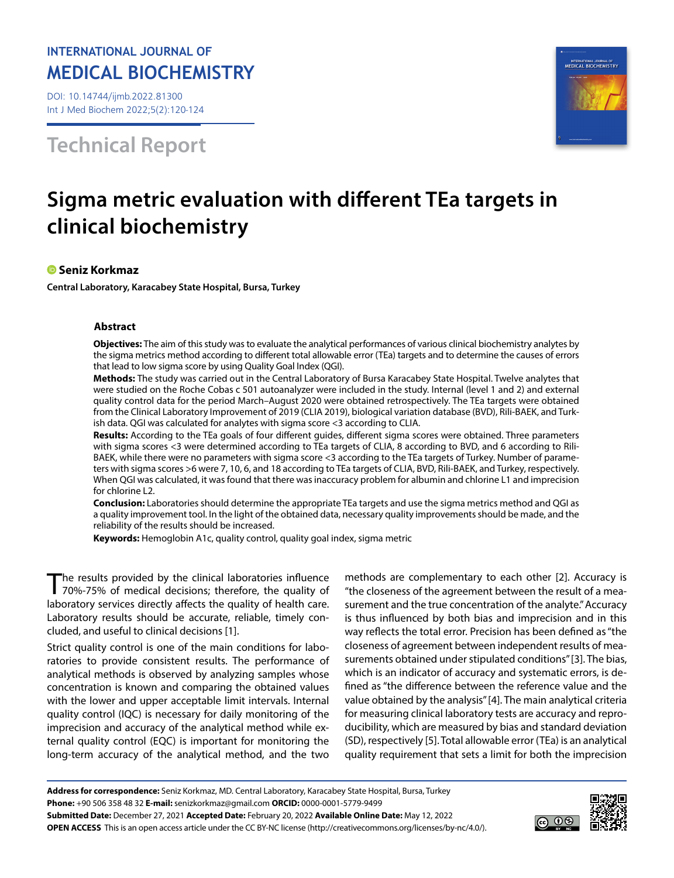## **INTERNATIONAL JOURNAL OF MEDICAL BIOCHEMISTRY**

DOI: 10.14744/ijmb.2022.81300 Int J Med Biochem 2022;5(2):120-124

**Technical Report**



# **Sigma metric evaluation with different TEa targets in clinical biochemistry**

### **Seniz Korkmaz**

**Central Laboratory, Karacabey State Hospital, Bursa, Turkey**

#### **Abstract**

**Objectives:** The aim of this study was to evaluate the analytical performances of various clinical biochemistry analytes by the sigma metrics method according to different total allowable error (TEa) targets and to determine the causes of errors that lead to low sigma score by using Quality Goal Index (QGI).

**Methods:** The study was carried out in the Central Laboratory of Bursa Karacabey State Hospital. Twelve analytes that were studied on the Roche Cobas c 501 autoanalyzer were included in the study. Internal (level 1 and 2) and external quality control data for the period March–August 2020 were obtained retrospectively. The TEa targets were obtained from the Clinical Laboratory Improvement of 2019 (CLIA 2019), biological variation database (BVD), Rili-BAEK, and Turkish data. QGI was calculated for analytes with sigma score <3 according to CLIA.

**Results:** According to the TEa goals of four different guides, different sigma scores were obtained. Three parameters with sigma scores <3 were determined according to TEa targets of CLIA, 8 according to BVD, and 6 according to Rili-BAEK, while there were no parameters with sigma score <3 according to the TEa targets of Turkey. Number of parameters with sigma scores >6 were 7, 10, 6, and 18 according to TEa targets of CLIA, BVD, Rili-BAEK, and Turkey, respectively. When QGI was calculated, it was found that there was inaccuracy problem for albumin and chlorine L1 and imprecision for chlorine L2.

**Conclusion:** Laboratories should determine the appropriate TEa targets and use the sigma metrics method and QGI as a quality improvement tool. In the light of the obtained data, necessary quality improvements should be made, and the reliability of the results should be increased.

**Keywords:** Hemoglobin A1c, quality control, quality goal index, sigma metric

The results provided by the clinical laboratories influence<br> $70\% - 75\%$  of medical decisions: therefore, the quality of 70%-75% of medical decisions; therefore, the quality of laboratory services directly affects the quality of health care. Laboratory results should be accurate, reliable, timely concluded, and useful to clinical decisions [1].

Strict quality control is one of the main conditions for laboratories to provide consistent results. The performance of analytical methods is observed by analyzing samples whose concentration is known and comparing the obtained values with the lower and upper acceptable limit intervals. Internal quality control (IQC) is necessary for daily monitoring of the imprecision and accuracy of the analytical method while external quality control (EQC) is important for monitoring the long-term accuracy of the analytical method, and the two

methods are complementary to each other [2]. Accuracy is "the closeness of the agreement between the result of a measurement and the true concentration of the analyte." Accuracy is thus influenced by both bias and imprecision and in this way reflects the total error. Precision has been defined as "the closeness of agreement between independent results of measurements obtained under stipulated conditions" [3]. The bias, which is an indicator of accuracy and systematic errors, is defined as "the difference between the reference value and the value obtained by the analysis" [4]. The main analytical criteria for measuring clinical laboratory tests are accuracy and reproducibility, which are measured by bias and standard deviation (SD), respectively [5]. Total allowable error (TEa) is an analytical quality requirement that sets a limit for both the imprecision

**Address for correspondence:** Seniz Korkmaz, MD. Central Laboratory, Karacabey State Hospital, Bursa, Turkey **Phone:** +90 506 358 48 32 **E-mail:** senizkorkmaz@gmail.com **ORCID:** 0000-0001-5779-9499 **Submitted Date:** December 27, 2021 **Accepted Date:** February 20, 2022 **Available Online Date:** May 12, 2022 **OPEN ACCESS** This is an open access article under the CC BY-NC license (http://creativecommons.org/licenses/by-nc/4.0/).

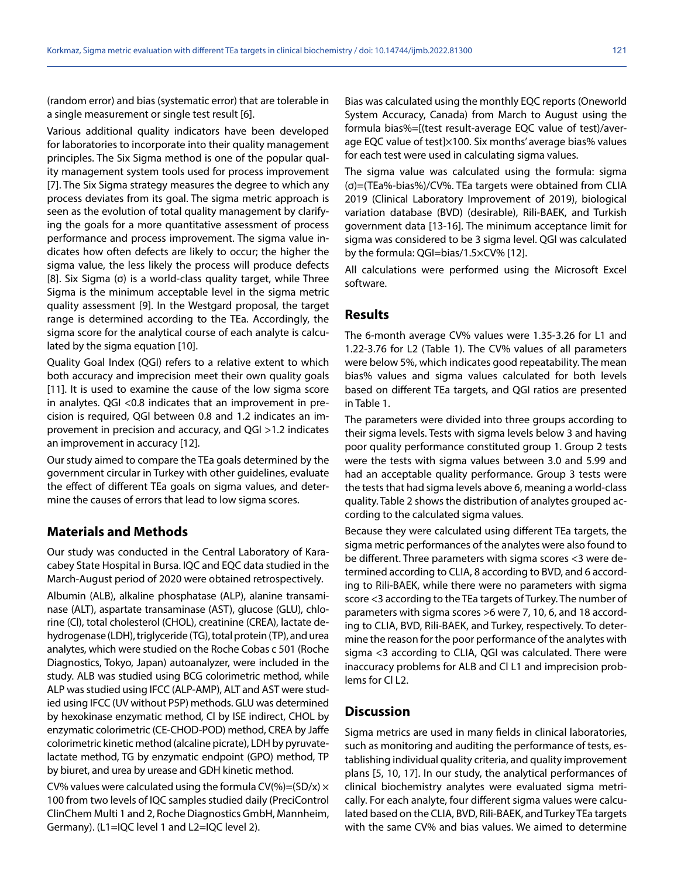(random error) and bias (systematic error) that are tolerable in a single measurement or single test result [6].

Various additional quality indicators have been developed for laboratories to incorporate into their quality management principles. The Six Sigma method is one of the popular quality management system tools used for process improvement [7]. The Six Sigma strategy measures the degree to which any process deviates from its goal. The sigma metric approach is seen as the evolution of total quality management by clarifying the goals for a more quantitative assessment of process performance and process improvement. The sigma value indicates how often defects are likely to occur; the higher the sigma value, the less likely the process will produce defects [8]. Six Sigma (σ) is a world-class quality target, while Three Sigma is the minimum acceptable level in the sigma metric quality assessment [9]. In the Westgard proposal, the target range is determined according to the TEa. Accordingly, the sigma score for the analytical course of each analyte is calculated by the sigma equation [10].

Quality Goal Index (QGI) refers to a relative extent to which both accuracy and imprecision meet their own quality goals [11]. It is used to examine the cause of the low sigma score in analytes. QGI <0.8 indicates that an improvement in precision is required, QGI between 0.8 and 1.2 indicates an improvement in precision and accuracy, and QGI >1.2 indicates an improvement in accuracy [12].

Our study aimed to compare the TEa goals determined by the government circular in Turkey with other guidelines, evaluate the effect of different TEa goals on sigma values, and determine the causes of errors that lead to low sigma scores.

#### **Materials and Methods**

Our study was conducted in the Central Laboratory of Karacabey State Hospital in Bursa. IQC and EQC data studied in the March-August period of 2020 were obtained retrospectively.

Albumin (ALB), alkaline phosphatase (ALP), alanine transaminase (ALT), aspartate transaminase (AST), glucose (GLU), chlorine (Cl), total cholesterol (CHOL), creatinine (CREA), lactate dehydrogenase (LDH), triglyceride (TG), total protein (TP), and urea analytes, which were studied on the Roche Cobas c 501 (Roche Diagnostics, Tokyo, Japan) autoanalyzer, were included in the study. ALB was studied using BCG colorimetric method, while ALP was studied using IFCC (ALP-AMP), ALT and AST were studied using IFCC (UV without P5P) methods. GLU was determined by hexokinase enzymatic method, Cl by ISE indirect, CHOL by enzymatic colorimetric (CE-CHOD-POD) method, CREA by Jaffe colorimetric kinetic method (alcaline picrate), LDH by pyruvatelactate method, TG by enzymatic endpoint (GPO) method, TP by biuret, and urea by urease and GDH kinetic method.

CV% values were calculated using the formula CV(%)=(SD/x)  $\times$ 100 from two levels of IQC samples studied daily (PreciControl ClinChem Multi 1 and 2, Roche Diagnostics GmbH, Mannheim, Germany). (L1=IQC level 1 and L2=IQC level 2).

Bias was calculated using the monthly EQC reports (Oneworld System Accuracy, Canada) from March to August using the formula bias%=[(test result-average EQC value of test)/average EQC value of test]×100. Six months' average bias% values for each test were used in calculating sigma values.

The sigma value was calculated using the formula: sigma (σ)=(TEa%-bias%)/CV%. TEa targets were obtained from CLIA 2019 (Clinical Laboratory Improvement of 2019), biological variation database (BVD) (desirable), Rili-BAEK, and Turkish government data [13-16]. The minimum acceptance limit for sigma was considered to be 3 sigma level. QGI was calculated by the formula: QGI=bias/1.5×CV% [12].

All calculations were performed using the Microsoft Excel software.

#### **Results**

The 6-month average CV% values were 1.35-3.26 for L1 and 1.22-3.76 for L2 (Table 1). The CV% values of all parameters were below 5%, which indicates good repeatability. The mean bias% values and sigma values calculated for both levels based on different TEa targets, and QGI ratios are presented in Table 1.

The parameters were divided into three groups according to their sigma levels. Tests with sigma levels below 3 and having poor quality performance constituted group 1. Group 2 tests were the tests with sigma values between 3.0 and 5.99 and had an acceptable quality performance. Group 3 tests were the tests that had sigma levels above 6, meaning a world-class quality. Table 2 shows the distribution of analytes grouped according to the calculated sigma values.

Because they were calculated using different TEa targets, the sigma metric performances of the analytes were also found to be different. Three parameters with sigma scores <3 were determined according to CLIA, 8 according to BVD, and 6 according to Rili-BAEK, while there were no parameters with sigma score <3 according to the TEa targets of Turkey. The number of parameters with sigma scores >6 were 7, 10, 6, and 18 according to CLIA, BVD, Rili-BAEK, and Turkey, respectively. To determine the reason for the poor performance of the analytes with sigma <3 according to CLIA, QGI was calculated. There were inaccuracy problems for ALB and Cl L1 and imprecision problems for Cl L2.

#### **Discussion**

Sigma metrics are used in many fields in clinical laboratories, such as monitoring and auditing the performance of tests, establishing individual quality criteria, and quality improvement plans [5, 10, 17]. In our study, the analytical performances of clinical biochemistry analytes were evaluated sigma metrically. For each analyte, four different sigma values were calculated based on the CLIA, BVD, Rili-BAEK, and Turkey TEa targets with the same CV% and bias values. We aimed to determine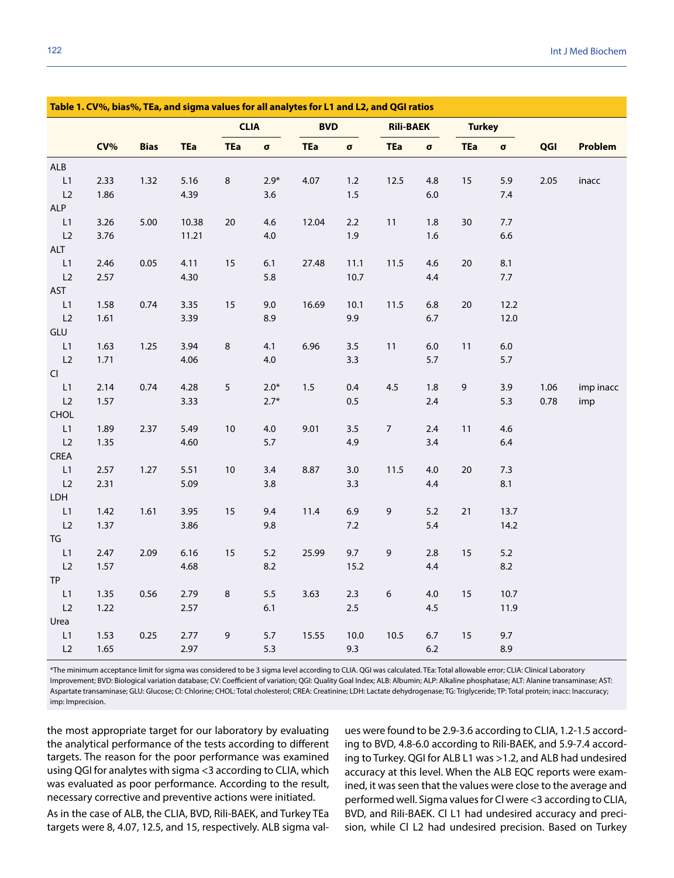| Table 1. CV%, bias%, TEa, and sigma values for all analytes for L1 and L2, and QGI ratios |      |             |            |             |                |            |                |                  |                |               |          |      |           |
|-------------------------------------------------------------------------------------------|------|-------------|------------|-------------|----------------|------------|----------------|------------------|----------------|---------------|----------|------|-----------|
|                                                                                           |      |             |            | <b>CLIA</b> |                | <b>BVD</b> |                | <b>Rili-BAEK</b> |                | <b>Turkey</b> |          |      |           |
|                                                                                           | CV%  | <b>Bias</b> | <b>TEa</b> | <b>TEa</b>  | $\pmb{\sigma}$ | <b>TEa</b> | $\pmb{\sigma}$ | <b>TEa</b>       | $\pmb{\sigma}$ | <b>TEa</b>    | $\sigma$ | QGI  | Problem   |
| ALB                                                                                       |      |             |            |             |                |            |                |                  |                |               |          |      |           |
| $\mathsf{L}1$                                                                             | 2.33 | 1.32        | 5.16       | $\,8\,$     | $2.9*$         | 4.07       | $1.2$          | 12.5             | 4.8            | $15\,$        | 5.9      | 2.05 | inacc     |
| L2                                                                                        | 1.86 |             | 4.39       |             | 3.6            |            | 1.5            |                  | 6.0            |               | $7.4$    |      |           |
| <b>ALP</b>                                                                                |      |             |            |             |                |            |                |                  |                |               |          |      |           |
| L1                                                                                        | 3.26 | 5.00        | 10.38      | 20          | 4.6            | 12.04      | 2.2            | 11               | 1.8            | 30            | 7.7      |      |           |
| L2                                                                                        | 3.76 |             | 11.21      |             | $4.0$          |            | 1.9            |                  | 1.6            |               | 6.6      |      |           |
| ALT                                                                                       |      |             |            |             |                |            |                |                  |                |               |          |      |           |
| $\mathsf{L}1$                                                                             | 2.46 | 0.05        | 4.11       | 15          | 6.1            | 27.48      | 11.1           | 11.5             | 4.6            | 20            | 8.1      |      |           |
| L2                                                                                        | 2.57 |             | 4.30       |             | 5.8            |            | 10.7           |                  | 4.4            |               | $7.7\,$  |      |           |
| AST                                                                                       |      |             |            |             |                |            |                |                  |                |               |          |      |           |
| L1                                                                                        | 1.58 | 0.74        | 3.35       | $15\,$      | 9.0            | 16.69      | 10.1           | 11.5             | 6.8            | $20\,$        | 12.2     |      |           |
| L2                                                                                        | 1.61 |             | 3.39       |             | 8.9            |            | 9.9            |                  | $6.7\,$        |               | 12.0     |      |           |
| GLU                                                                                       |      |             |            |             |                |            |                |                  |                |               |          |      |           |
| $\mathsf{L}1$                                                                             | 1.63 | 1.25        | 3.94       | $\,8\,$     | 4.1            | 6.96       | 3.5            | 11               | $6.0\,$        | $11$          | $6.0\,$  |      |           |
| L2                                                                                        | 1.71 |             | 4.06       |             | $4.0\,$        |            | 3.3            |                  | 5.7            |               | 5.7      |      |           |
| Cl                                                                                        |      |             |            |             |                |            |                |                  |                |               |          |      |           |
| L1                                                                                        | 2.14 | 0.74        | 4.28       | 5           | $2.0*$         | 1.5        | 0.4            | 4.5              | 1.8            | 9             | 3.9      | 1.06 | imp inacc |
| L2                                                                                        | 1.57 |             | 3.33       |             | $2.7*$         |            | 0.5            |                  | 2.4            |               | 5.3      | 0.78 | imp       |
| CHOL                                                                                      |      |             |            |             |                |            |                |                  |                |               |          |      |           |
| L1                                                                                        | 1.89 | 2.37        | 5.49       | 10          | $4.0\,$        | 9.01       | 3.5            | $\overline{7}$   | 2.4            | 11            | 4.6      |      |           |
| L2                                                                                        | 1.35 |             | 4.60       |             | 5.7            |            | 4.9            |                  | 3.4            |               | 6.4      |      |           |
| CREA                                                                                      |      |             |            |             |                |            |                |                  |                |               |          |      |           |
| L1                                                                                        | 2.57 | 1.27        | 5.51       | $10$        | 3.4            | 8.87       | 3.0            | 11.5             | 4.0            | 20            | 7.3      |      |           |
| L2                                                                                        | 2.31 |             | 5.09       |             | $3.8\,$        |            | 3.3            |                  | 4.4            |               | 8.1      |      |           |
| LDH                                                                                       |      |             |            |             |                |            |                |                  |                |               |          |      |           |
| $\mathsf{L}1$                                                                             | 1.42 | 1.61        | 3.95       | 15          | 9.4            | 11.4       | 6.9            | 9                | 5.2            | $21$          | 13.7     |      |           |
| L2                                                                                        | 1.37 |             | 3.86       |             | 9.8            |            | 7.2            |                  | 5.4            |               | 14.2     |      |           |
| ${\mathsf T}{\mathsf G}$                                                                  |      |             |            |             |                |            |                |                  |                |               |          |      |           |
| L1                                                                                        | 2.47 | 2.09        | 6.16       | 15          | $5.2\,$        | 25.99      | 9.7            | 9                | 2.8            | 15            | 5.2      |      |           |
| L2                                                                                        | 1.57 |             | 4.68       |             | 8.2            |            | 15.2           |                  | 4.4            |               | 8.2      |      |           |
| <b>TP</b>                                                                                 |      |             |            |             |                |            |                |                  |                |               |          |      |           |
| $\mathsf{L}1$                                                                             | 1.35 | 0.56        | 2.79       | $\,8\,$     | 5.5            | 3.63       | 2.3            | 6                | 4.0            | 15            | 10.7     |      |           |
| L2                                                                                        | 1.22 |             | 2.57       |             | 6.1            |            | 2.5            |                  | 4.5            |               | 11.9     |      |           |
| Urea                                                                                      |      |             |            |             |                |            |                |                  |                |               |          |      |           |
| L1                                                                                        | 1.53 | 0.25        | 2.77       | 9           | $5.7\,$        | 15.55      | 10.0           | 10.5             | $6.7$          | 15            | 9.7      |      |           |
| L2                                                                                        | 1.65 |             | 2.97       |             | 5.3            |            | 9.3            |                  | $6.2$          |               | 8.9      |      |           |

\*The minimum acceptance limit for sigma was considered to be 3 sigma level according to CLIA. QGI was calculated. TEa: Total allowable error; CLIA: Clinical Laboratory Improvement; BVD: Biological variation database; CV: Coefficient of variation; QGI: Quality Goal Index; ALB: Albumin; ALP: Alkaline phosphatase; ALT: Alanine transaminase; AST: Aspartate transaminase; GLU: Glucose; Cl: Chlorine; CHOL: Total cholesterol; CREA: Creatinine; LDH: Lactate dehydrogenase; TG: Triglyceride; TP: Total protein; inacc: Inaccuracy; imp: Imprecision.

the most appropriate target for our laboratory by evaluating the analytical performance of the tests according to different targets. The reason for the poor performance was examined using QGI for analytes with sigma <3 according to CLIA, which was evaluated as poor performance. According to the result, necessary corrective and preventive actions were initiated.

As in the case of ALB, the CLIA, BVD, Rili-BAEK, and Turkey TEa targets were 8, 4.07, 12.5, and 15, respectively. ALB sigma values were found to be 2.9-3.6 according to CLIA, 1.2-1.5 according to BVD, 4.8-6.0 according to Rili-BAEK, and 5.9-7.4 according to Turkey. QGI for ALB L1 was >1.2, and ALB had undesired accuracy at this level. When the ALB EQC reports were examined, it was seen that the values were close to the average and performed well. Sigma values for Cl were <3 according to CLIA, BVD, and Rili-BAEK. Cl L1 had undesired accuracy and precision, while Cl L2 had undesired precision. Based on Turkey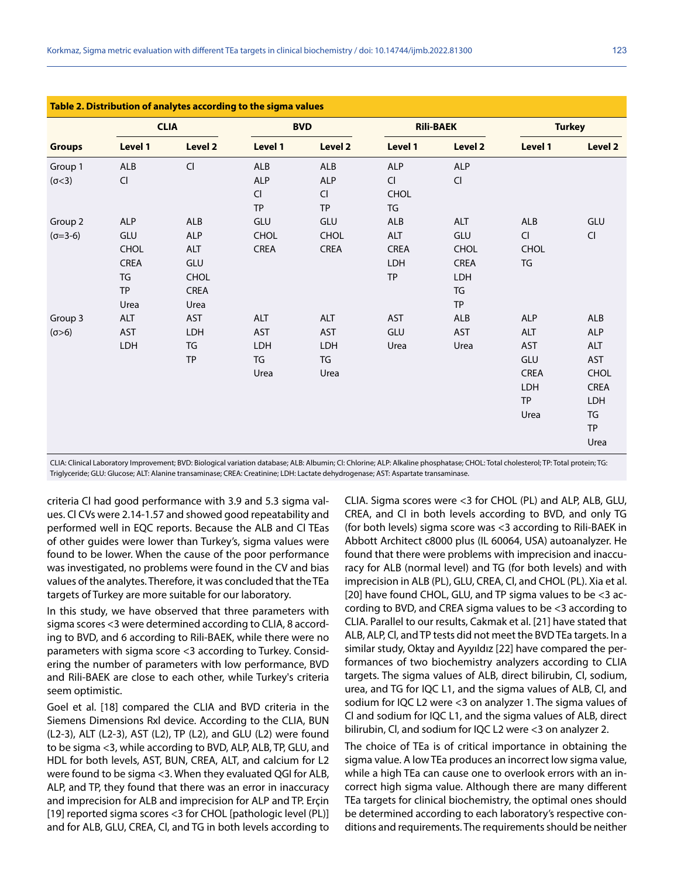|               |             | <b>CLIA</b>    |             | <b>BVD</b>     |             | <b>Rili-BAEK</b> | <b>Turkey</b>        |                        |
|---------------|-------------|----------------|-------------|----------------|-------------|------------------|----------------------|------------------------|
| <b>Groups</b> | Level 1     | <b>Level 2</b> | Level 1     | <b>Level 2</b> | Level 1     | Level 2          | Level 1              | Level 2                |
| Group 1       | ALB         | Cl             | ALB         | <b>ALB</b>     | ALP         | ALP              |                      |                        |
| (σ < 3)       | CI          |                | <b>ALP</b>  | <b>ALP</b>     | CI          | CI               |                      |                        |
|               |             |                | <b>CI</b>   | CI             | <b>CHOL</b> |                  |                      |                        |
|               |             |                | <b>TP</b>   | TP             | TG          |                  |                      |                        |
| Group 2       | <b>ALP</b>  | ALB            | GLU         | GLU            | ALB         | <b>ALT</b>       | ALB                  | GLU                    |
| $(σ=3-6)$     | GLU         | ALP            | <b>CHOL</b> | <b>CHOL</b>    | ALT         | GLU              | $\mathsf{Cl}\xspace$ | $\mathsf{C}\mathsf{I}$ |
|               | <b>CHOL</b> | ALT            | CREA        | <b>CREA</b>    | <b>CREA</b> | <b>CHOL</b>      | CHOL                 |                        |
|               | CREA        | GLU            |             |                | LDH         | CREA             | TG                   |                        |
|               | TG          | <b>CHOL</b>    |             |                | TP          | LDH              |                      |                        |
|               | <b>TP</b>   | CREA           |             |                |             | TG               |                      |                        |
|               | Urea        | Urea           |             |                |             | <b>TP</b>        |                      |                        |
| Group 3       | ALT         | <b>AST</b>     | <b>ALT</b>  | <b>ALT</b>     | <b>AST</b>  | ALB              | <b>ALP</b>           | <b>ALB</b>             |
| (0>6)         | <b>AST</b>  | LDH            | <b>AST</b>  | <b>AST</b>     | GLU         | <b>AST</b>       | <b>ALT</b>           | <b>ALP</b>             |
|               | LDH         | TG             | LDH         | LDH            | Urea        | Urea             | <b>AST</b>           | <b>ALT</b>             |
|               |             | TP             | TG          | TG             |             |                  | GLU                  | <b>AST</b>             |
|               |             |                | Urea        | Urea           |             |                  | CREA                 | CHOL                   |
|               |             |                |             |                |             |                  | <b>LDH</b>           | CREA                   |
|               |             |                |             |                |             |                  | <b>TP</b>            | LDH                    |
|               |             |                |             |                |             |                  | Urea                 | TG                     |
|               |             |                |             |                |             |                  |                      | <b>TP</b>              |
|               |             |                |             |                |             |                  |                      | Urea                   |

CLIA: Clinical Laboratory Improvement; BVD: Biological variation database; ALB: Albumin; Cl: Chlorine; ALP: Alkaline phosphatase; CHOL: Total cholesterol; TP: Total protein; TG: Triglyceride; GLU: Glucose; ALT: Alanine transaminase; CREA: Creatinine; LDH: Lactate dehydrogenase; AST: Aspartate transaminase.

criteria Cl had good performance with 3.9 and 5.3 sigma values. Cl CVs were 2.14-1.57 and showed good repeatability and performed well in EQC reports. Because the ALB and Cl TEas of other guides were lower than Turkey's, sigma values were found to be lower. When the cause of the poor performance was investigated, no problems were found in the CV and bias values of the analytes. Therefore, it was concluded that the TEa targets of Turkey are more suitable for our laboratory.

In this study, we have observed that three parameters with sigma scores <3 were determined according to CLIA, 8 according to BVD, and 6 according to Rili-BAEK, while there were no parameters with sigma score <3 according to Turkey. Considering the number of parameters with low performance, BVD and Rili-BAEK are close to each other, while Turkey's criteria seem optimistic.

Goel et al. [18] compared the CLIA and BVD criteria in the Siemens Dimensions Rxl device. According to the CLIA, BUN (L2-3), ALT (L2-3), AST (L2), TP (L2), and GLU (L2) were found to be sigma <3, while according to BVD, ALP, ALB, TP, GLU, and HDL for both levels, AST, BUN, CREA, ALT, and calcium for L2 were found to be sigma <3. When they evaluated QGI for ALB, ALP, and TP, they found that there was an error in inaccuracy and imprecision for ALB and imprecision for ALP and TP. Erçin [19] reported sigma scores <3 for CHOL [pathologic level (PL)] and for ALB, GLU, CREA, Cl, and TG in both levels according to CLIA. Sigma scores were <3 for CHOL (PL) and ALP, ALB, GLU, CREA, and Cl in both levels according to BVD, and only TG (for both levels) sigma score was <3 according to Rili-BAEK in Abbott Architect c8000 plus (IL 60064, USA) autoanalyzer. He found that there were problems with imprecision and inaccuracy for ALB (normal level) and TG (for both levels) and with imprecision in ALB (PL), GLU, CREA, Cl, and CHOL (PL). Xia et al. [20] have found CHOL, GLU, and TP sigma values to be <3 according to BVD, and CREA sigma values to be <3 according to CLIA. Parallel to our results, Cakmak et al. [21] have stated that ALB, ALP, Cl, and TP tests did not meet the BVD TEa targets. In a similar study, Oktay and Ayyıldız [22] have compared the performances of two biochemistry analyzers according to CLIA targets. The sigma values of ALB, direct bilirubin, Cl, sodium, urea, and TG for IQC L1, and the sigma values of ALB, Cl, and sodium for IQC L2 were <3 on analyzer 1. The sigma values of Cl and sodium for IQC L1, and the sigma values of ALB, direct bilirubin, Cl, and sodium for IQC L2 were <3 on analyzer 2.

The choice of TEa is of critical importance in obtaining the sigma value. A low TEa produces an incorrect low sigma value, while a high TEa can cause one to overlook errors with an incorrect high sigma value. Although there are many different TEa targets for clinical biochemistry, the optimal ones should be determined according to each laboratory's respective conditions and requirements. The requirements should be neither